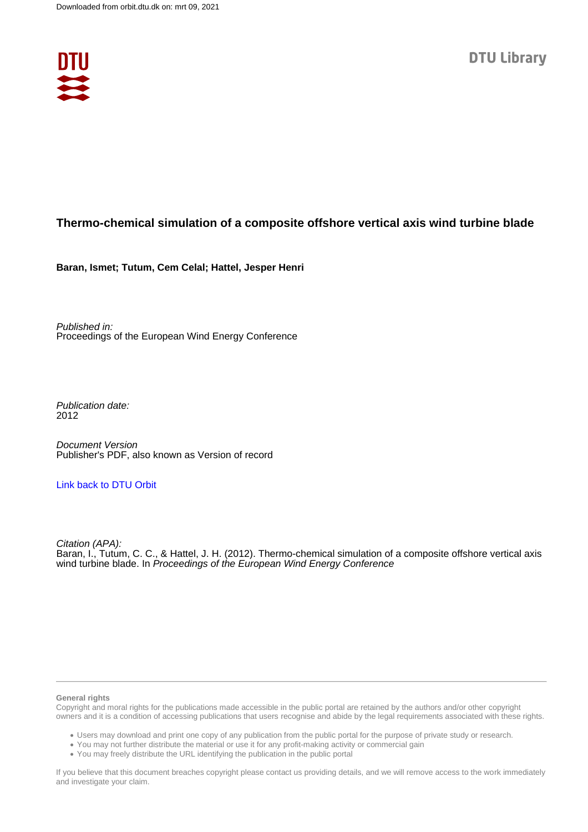

#### **Thermo-chemical simulation of a composite offshore vertical axis wind turbine blade**

**Baran, Ismet; Tutum, Cem Celal; Hattel, Jesper Henri**

Published in: Proceedings of the European Wind Energy Conference

Publication date: 2012

Document Version Publisher's PDF, also known as Version of record

#### [Link back to DTU Orbit](https://orbit.dtu.dk/en/publications/4f6357d0-b2f4-4760-b472-2a07ee79e543)

Citation (APA): Baran, I., Tutum, C. C., & Hattel, J. H. (2012). Thermo-chemical simulation of a composite offshore vertical axis wind turbine blade. In Proceedings of the European Wind Energy Conference

#### **General rights**

Copyright and moral rights for the publications made accessible in the public portal are retained by the authors and/or other copyright owners and it is a condition of accessing publications that users recognise and abide by the legal requirements associated with these rights.

Users may download and print one copy of any publication from the public portal for the purpose of private study or research.

- You may not further distribute the material or use it for any profit-making activity or commercial gain
- You may freely distribute the URL identifying the publication in the public portal

If you believe that this document breaches copyright please contact us providing details, and we will remove access to the work immediately and investigate your claim.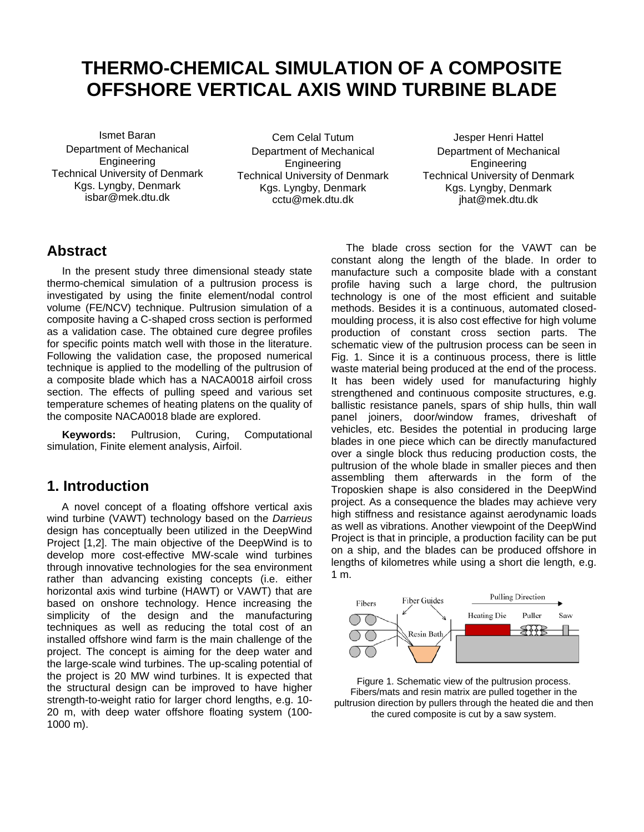# **THERMO-CHEMICAL SIMULATION OF A COMPOSITE OFFSHORE VERTICAL AXIS WIND TURBINE BLADE**

Ismet Baran Department of Mechanical Engineering Technical University of Denmark Kgs. Lyngby, Denmark isbar@mek.dtu.dk

Cem Celal Tutum Department of Mechanical Engineering Technical University of Denmark Kgs. Lyngby, Denmark cctu@mek.dtu.dk

Jesper Henri Hattel Department of Mechanical **Engineering** Technical University of Denmark Kgs. Lyngby, Denmark jhat@mek.dtu.dk

# **Abstract**

In the present study three dimensional steady state thermo-chemical simulation of a pultrusion process is investigated by using the finite element/nodal control volume (FE/NCV) technique. Pultrusion simulation of a composite having a C-shaped cross section is performed as a validation case. The obtained cure degree profiles for specific points match well with those in the literature. Following the validation case, the proposed numerical technique is applied to the modelling of the pultrusion of a composite blade which has a NACA0018 airfoil cross section. The effects of pulling speed and various set temperature schemes of heating platens on the quality of the composite NACA0018 blade are explored.

**Keywords:** Pultrusion, Curing, Computational simulation, Finite element analysis, Airfoil.

# **1. Introduction**

A novel concept of a floating offshore vertical axis wind turbine (VAWT) technology based on the *Darrieus*  design has conceptually been utilized in the DeepWind Project [1,2]. The main objective of the DeepWind is to develop more cost-effective MW-scale wind turbines through innovative technologies for the sea environment rather than advancing existing concepts (i.e. either horizontal axis wind turbine (HAWT) or VAWT) that are based on onshore technology. Hence increasing the simplicity of the design and the manufacturing techniques as well as reducing the total cost of an installed offshore wind farm is the main challenge of the project. The concept is aiming for the deep water and the large-scale wind turbines. The up-scaling potential of the project is 20 MW wind turbines. It is expected that the structural design can be improved to have higher strength-to-weight ratio for larger chord lengths, e.g. 10- 20 m, with deep water offshore floating system (100- 1000 m).

The blade cross section for the VAWT can be constant along the length of the blade. In order to manufacture such a composite blade with a constant profile having such a large chord, the pultrusion technology is one of the most efficient and suitable methods. Besides it is a continuous, automated closedmoulding process, it is also cost effective for high volume production of constant cross section parts. The schematic view of the pultrusion process can be seen in Fig. 1. Since it is a continuous process, there is little waste material being produced at the end of the process. It has been widely used for manufacturing highly strengthened and continuous composite structures, e.g. ballistic resistance panels, spars of ship hulls, thin wall panel joiners, door/window frames, driveshaft of vehicles, etc. Besides the potential in producing large blades in one piece which can be directly manufactured over a single block thus reducing production costs, the pultrusion of the whole blade in smaller pieces and then assembling them afterwards in the form of the Troposkien shape is also considered in the DeepWind project. As a consequence the blades may achieve very high stiffness and resistance against aerodynamic loads as well as vibrations. Another viewpoint of the DeepWind Project is that in principle, a production facility can be put on a ship, and the blades can be produced offshore in lengths of kilometres while using a short die length, e.g. 1 m.



Figure 1. Schematic view of the pultrusion process. Fibers/mats and resin matrix are pulled together in the pultrusion direction by pullers through the heated die and then the cured composite is cut by a saw system.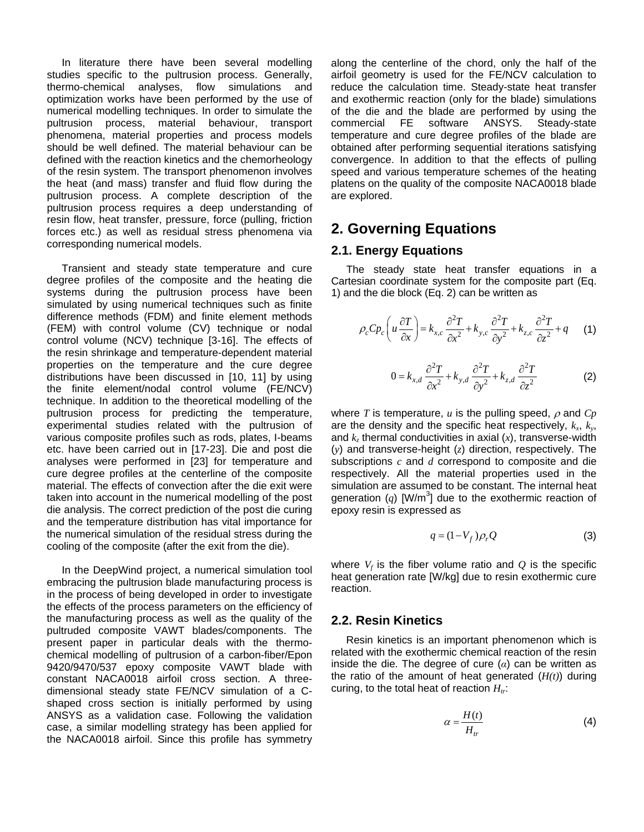In literature there have been several modelling studies specific to the pultrusion process. Generally, thermo-chemical analyses, flow simulations and optimization works have been performed by the use of numerical modelling techniques. In order to simulate the pultrusion process, material behaviour, transport phenomena, material properties and process models should be well defined. The material behaviour can be defined with the reaction kinetics and the chemorheology of the resin system. The transport phenomenon involves the heat (and mass) transfer and fluid flow during the pultrusion process. A complete description of the pultrusion process requires a deep understanding of resin flow, heat transfer, pressure, force (pulling, friction forces etc.) as well as residual stress phenomena via corresponding numerical models.

Transient and steady state temperature and cure degree profiles of the composite and the heating die systems during the pultrusion process have been simulated by using numerical techniques such as finite difference methods (FDM) and finite element methods (FEM) with control volume (CV) technique or nodal control volume (NCV) technique [3-16]. The effects of the resin shrinkage and temperature-dependent material properties on the temperature and the cure degree distributions have been discussed in [10, 11] by using the finite element/nodal control volume (FE/NCV) technique. In addition to the theoretical modelling of the pultrusion process for predicting the temperature, experimental studies related with the pultrusion of various composite profiles such as rods, plates, I-beams etc. have been carried out in [17-23]. Die and post die analyses were performed in [23] for temperature and cure degree profiles at the centerline of the composite material. The effects of convection after the die exit were taken into account in the numerical modelling of the post die analysis. The correct prediction of the post die curing and the temperature distribution has vital importance for the numerical simulation of the residual stress during the cooling of the composite (after the exit from the die).

In the DeepWind project, a numerical simulation tool embracing the pultrusion blade manufacturing process is in the process of being developed in order to investigate the effects of the process parameters on the efficiency of the manufacturing process as well as the quality of the pultruded composite VAWT blades/components. The present paper in particular deals with the thermochemical modelling of pultrusion of a carbon-fiber/Epon 9420/9470/537 epoxy composite VAWT blade with constant NACA0018 airfoil cross section. A threedimensional steady state FE/NCV simulation of a Cshaped cross section is initially performed by using ANSYS as a validation case. Following the validation case, a similar modelling strategy has been applied for the NACA0018 airfoil. Since this profile has symmetry along the centerline of the chord, only the half of the airfoil geometry is used for the FE/NCV calculation to reduce the calculation time. Steady-state heat transfer and exothermic reaction (only for the blade) simulations of the die and the blade are performed by using the commercial FE software ANSYS. Steady-state commercial FE software ANSYS. Steady-state temperature and cure degree profiles of the blade are obtained after performing sequential iterations satisfying convergence. In addition to that the effects of pulling speed and various temperature schemes of the heating platens on the quality of the composite NACA0018 blade are explored.

# **2. Governing Equations**

#### **2.1. Energy Equations**

The steady state heat transfer equations in a Cartesian coordinate system for the composite part (Eq. 1) and the die block (Eq. 2) can be written as

$$
\rho_c C p_c \left( u \frac{\partial T}{\partial x} \right) = k_{x,c} \frac{\partial^2 T}{\partial x^2} + k_{y,c} \frac{\partial^2 T}{\partial y^2} + k_{z,c} \frac{\partial^2 T}{\partial z^2} + q \tag{1}
$$

$$
0 = k_{x,d} \frac{\partial^2 T}{\partial x^2} + k_{y,d} \frac{\partial^2 T}{\partial y^2} + k_{z,d} \frac{\partial^2 T}{\partial z^2}
$$
 (2)

where *T* is temperature, *u* is the pulling speed,  $\rho$  and  $C_p$ are the density and the specific heat respectively,  $k_x$ ,  $k_y$ , and  $k_z$  thermal conductivities in axial  $(x)$ , transverse-width (*y*) and transverse-height (*z*) direction, respectively. The subscriptions *c* and *d* correspond to composite and die respectively. All the material properties used in the simulation are assumed to be constant. The internal heat generation  $(q)$  [W/m<sup>3</sup>] due to the exothermic reaction of epoxy resin is expressed as

$$
q = (1 - V_f) \rho_r Q \tag{3}
$$

where  $V_f$  is the fiber volume ratio and  $Q$  is the specific heat generation rate [W/kg] due to resin exothermic cure reaction.

#### **2.2. Resin Kinetics**

Resin kinetics is an important phenomenon which is related with the exothermic chemical reaction of the resin inside the die. The degree of cure (*α*) can be written as the ratio of the amount of heat generated (*H(t)*) during curing, to the total heat of reaction  $H_{tr}$ :

$$
\alpha = \frac{H(t)}{H_{tr}} \tag{4}
$$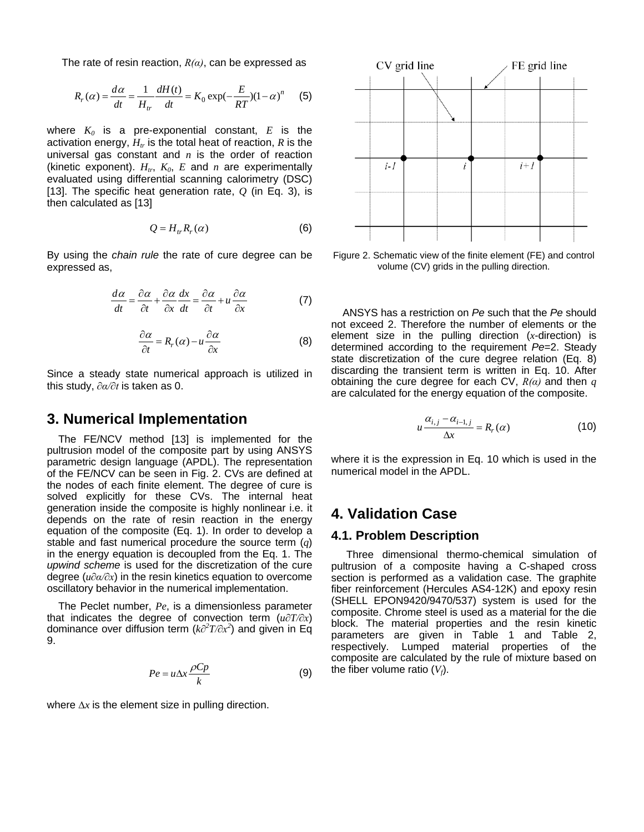The rate of resin reaction, *R(α)*, can be expressed as

$$
R_r(\alpha) = \frac{d\alpha}{dt} = \frac{1}{H_{tr}} \frac{dH(t)}{dt} = K_0 \exp(-\frac{E}{RT})(1-\alpha)^n \tag{5}
$$

where  $K_0$  is a pre-exponential constant,  $E$  is the activation energy,  $H_{tr}$  is the total heat of reaction,  $R$  is the universal gas constant and *n* is the order of reaction (kinetic exponent).  $H_{tr}$ ,  $K_0$ ,  $E$  and  $n$  are experimentally evaluated using differential scanning calorimetry (DSC) [13]. The specific heat generation rate, *Q* (in Eq. 3), is then calculated as [13]

$$
Q = H_{tr} R_r(\alpha) \tag{6}
$$

By using the *chain rule* the rate of cure degree can be expressed as,

$$
\frac{d\alpha}{dt} = \frac{\partial \alpha}{\partial t} + \frac{\partial \alpha}{\partial x}\frac{dx}{dt} = \frac{\partial \alpha}{\partial t} + u\frac{\partial \alpha}{\partial x} \tag{7}
$$

$$
\frac{\partial \alpha}{\partial t} = R_r(\alpha) - u \frac{\partial \alpha}{\partial x}
$$
 (8)

Since a steady state numerical approach is utilized in this study, *∂α/∂t* is taken as 0.

### **3. Numerical Implementation**

The FE/NCV method [13] is implemented for the pultrusion model of the composite part by using ANSYS parametric design language (APDL). The representation of the FE/NCV can be seen in Fig. 2. CVs are defined at the nodes of each finite element. The degree of cure is solved explicitly for these CVs. The internal heat generation inside the composite is highly nonlinear i.e. it depends on the rate of resin reaction in the energy equation of the composite (Eq. 1). In order to develop a stable and fast numerical procedure the source term (*q*) in the energy equation is decoupled from the Eq. 1. The *upwind scheme* is used for the discretization of the cure degree (*u∂α/∂x*) in the resin kinetics equation to overcome oscillatory behavior in the numerical implementation.

The Peclet number, *Pe*, is a dimensionless parameter that indicates the degree of convection term (*u∂T/∂x*) dominance over diffusion term (*k∂<sup>2</sup> T/∂x<sup>2</sup>* ) and given in Eq 9.

$$
Pe = u\Delta x \frac{\rho C p}{k} \tag{9}
$$

where *∆x* is the element size in pulling direction.



Figure 2. Schematic view of the finite element (FE) and control volume (CV) grids in the pulling direction.

ANSYS has a restriction on *Pe* such that the *Pe* should not exceed 2. Therefore the number of elements or the element size in the pulling direction (*x*-direction) is determined according to the requirement *Pe*=2. Steady state discretization of the cure degree relation (Eq. 8) discarding the transient term is written in Eq. 10. After obtaining the cure degree for each CV, *R(α)* and then *q* are calculated for the energy equation of the composite.

$$
u \frac{\alpha_{i,j} - \alpha_{i-1,j}}{\Delta x} = R_r(\alpha)
$$
 (10)

where it is the expression in Eq. 10 which is used in the numerical model in the APDL.

#### **4. Validation Case**

#### **4.1. Problem Description**

Three dimensional thermo-chemical simulation of pultrusion of a composite having a C-shaped cross section is performed as a validation case. The graphite fiber reinforcement (Hercules AS4-12K) and epoxy resin (SHELL EPON9420/9470/537) system is used for the composite. Chrome steel is used as a material for the die block. The material properties and the resin kinetic parameters are given in Table 1 and Table 2, respectively. Lumped material properties of the composite are calculated by the rule of mixture based on the fiber volume ratio  $(V_f)$ .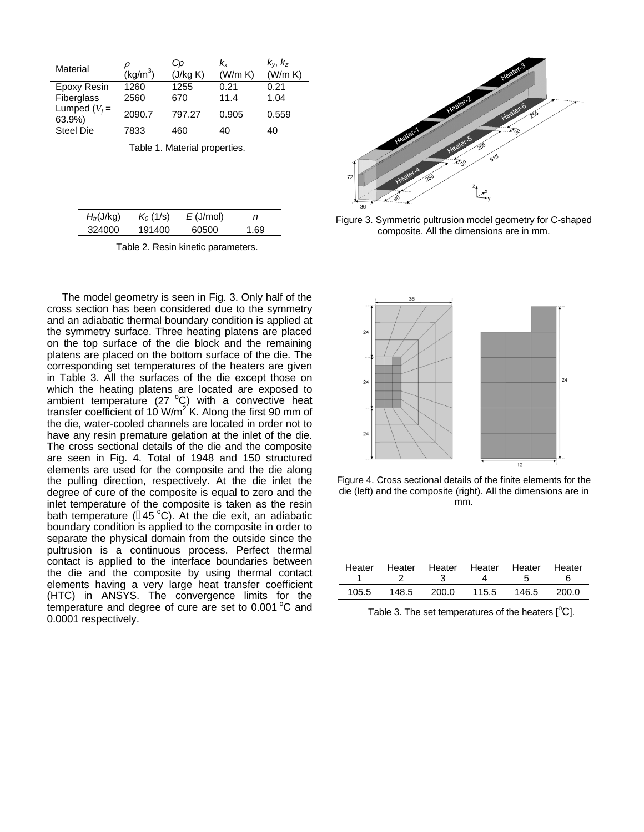| Material                  | $(Kg/m^3)$   | Cр<br>(J/kg K) | Kx<br>(W/m K) | $k_y, k_z$<br>(W/m K) |
|---------------------------|--------------|----------------|---------------|-----------------------|
| Epoxy Resin<br>Fiberglass | 1260<br>2560 | 1255<br>670    | 0.21<br>11.4  | 0.21<br>1.04          |
| Lumped $(V_f =$<br>63.9%) | 2090.7       | 797.27         | 0.905         | 0.559                 |
| <b>Steel Die</b>          | 7833         | 460            | 40            | 40                    |

Table 1. Material properties.

| $H_{tr}$ (J/kg) | $K_0$ (1/s) | $E$ (J/mol) | n    |
|-----------------|-------------|-------------|------|
| 324000          | 191400      | 60500       | 1.69 |

Table 2. Resin kinetic parameters.

The model geometry is seen in Fig. 3. Only half of the cross section has been considered due to the symmetry and an adiabatic thermal boundary condition is applied at the symmetry surface. Three heating platens are placed on the top surface of the die block and the remaining platens are placed on the bottom surface of the die. The corresponding set temperatures of the heaters are given in Table 3. All the surfaces of the die except those on which the heating platens are located are exposed to ambient temperature (27  $^{\circ}$ C) with a convective heat transfer coefficient of 10  $\text{W/m}^2$  K. Along the first 90 mm of the die, water-cooled channels are located in order not to have any resin premature gelation at the inlet of the die. The cross sectional details of the die and the composite are seen in Fig. 4. Total of 1948 and 150 structured elements are used for the composite and the die along the pulling direction, respectively. At the die inlet the degree of cure of the composite is equal to zero and the inlet temperature of the composite is taken as the resin bath temperature ( $[145 °C)$ . At the die exit, an adiabatic boundary condition is applied to the composite in order to separate the physical domain from the outside since the pultrusion is a continuous process. Perfect thermal contact is applied to the interface boundaries between the die and the composite by using thermal contact elements having a very large heat transfer coefficient (HTC) in ANSYS. The convergence limits for the temperature and degree of cure are set to 0.001 °C and 0.0001 respectively.



Figure 3. Symmetric pultrusion model geometry for C-shaped composite. All the dimensions are in mm.



Figure 4. Cross sectional details of the finite elements for the die (left) and the composite (right). All the dimensions are in mm.

| Heater | Heater Heater Heater Heater Heater |       |       |       |       |
|--------|------------------------------------|-------|-------|-------|-------|
| 105.5  | 148.5                              | 200.0 | 115.5 | 146.5 | 200.0 |

Table 3. The set temperatures of the heaters  $[{}^{0}C]$ .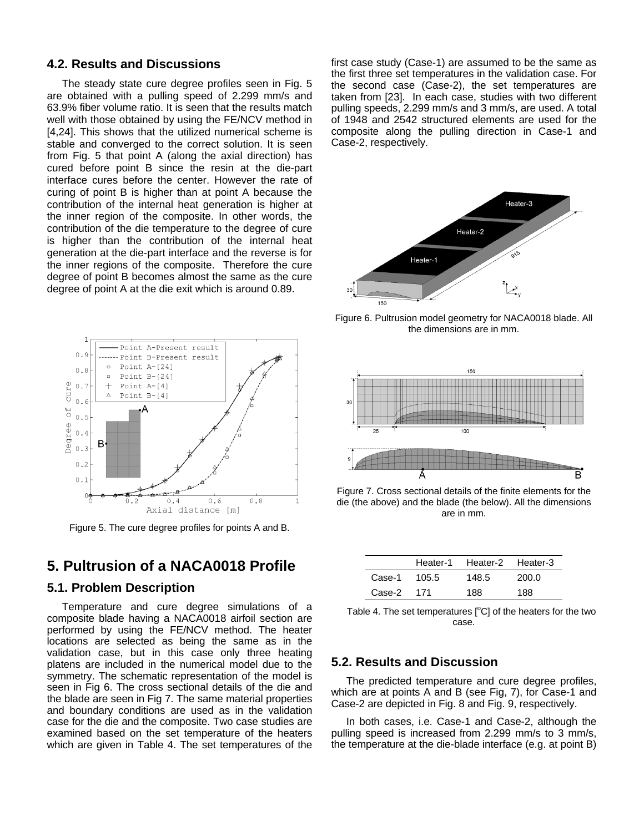#### **4.2. Results and Discussions**

The steady state cure degree profiles seen in Fig. 5 are obtained with a pulling speed of 2.299 mm/s and 63.9% fiber volume ratio. It is seen that the results match well with those obtained by using the FE/NCV method in [4,24]. This shows that the utilized numerical scheme is stable and converged to the correct solution. It is seen from Fig. 5 that point A (along the axial direction) has cured before point B since the resin at the die-part interface cures before the center. However the rate of curing of point B is higher than at point A because the contribution of the internal heat generation is higher at the inner region of the composite. In other words, the contribution of the die temperature to the degree of cure is higher than the contribution of the internal heat generation at the die-part interface and the reverse is for the inner regions of the composite. Therefore the cure degree of point B becomes almost the same as the cure degree of point A at the die exit which is around 0.89.



Figure 5. The cure degree profiles for points A and B.

# **5. Pultrusion of a NACA0018 Profile**

#### **5.1. Problem Description**

Temperature and cure degree simulations of a composite blade having a NACA0018 airfoil section are performed by using the FE/NCV method. The heater locations are selected as being the same as in the validation case, but in this case only three heating platens are included in the numerical model due to the symmetry. The schematic representation of the model is seen in Fig 6. The cross sectional details of the die and the blade are seen in Fig 7. The same material properties and boundary conditions are used as in the validation case for the die and the composite. Two case studies are examined based on the set temperature of the heaters which are given in Table 4. The set temperatures of the

first case study (Case-1) are assumed to be the same as the first three set temperatures in the validation case. For the second case (Case-2), the set temperatures are taken from [23]. In each case, studies with two different pulling speeds, 2.299 mm/s and 3 mm/s, are used. A total of 1948 and 2542 structured elements are used for the composite along the pulling direction in Case-1 and Case-2, respectively.



Figure 6. Pultrusion model geometry for NACA0018 blade. All the dimensions are in mm.



Figure 7. Cross sectional details of the finite elements for the die (the above) and the blade (the below). All the dimensions are in mm.

|        |       | Heater-1 Heater-2 Heater-3 |       |
|--------|-------|----------------------------|-------|
| Case-1 | 105.5 | 148.5                      | 200.0 |
| Case-2 | 171   | 188                        | 188   |

Table 4. The set temperatures  $[°C]$  of the heaters for the two case.

#### **5.2. Results and Discussion**

The predicted temperature and cure degree profiles, which are at points A and B (see Fig, 7), for Case-1 and Case-2 are depicted in Fig. 8 and Fig. 9, respectively.

In both cases, i.e. Case-1 and Case-2, although the pulling speed is increased from 2.299 mm/s to 3 mm/s, the temperature at the die-blade interface (e.g. at point B)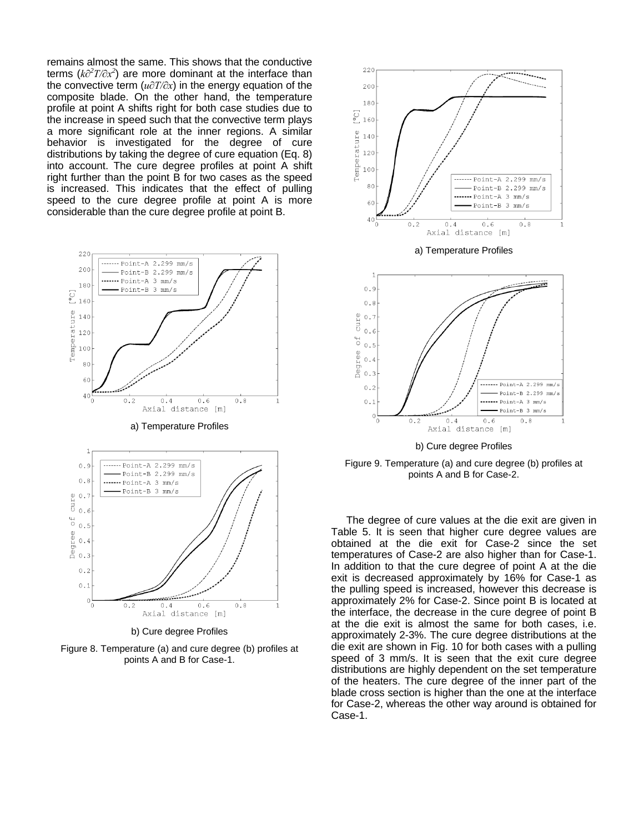remains almost the same. This shows that the conductive terms (*k∂<sup>2</sup> T/∂x<sup>2</sup>* ) are more dominant at the interface than the convective term (*u∂T/∂x*) in the energy equation of the composite blade. On the other hand, the temperature profile at point A shifts right for both case studies due to the increase in speed such that the convective term plays a more significant role at the inner regions. A similar behavior is investigated for the degree of cure distributions by taking the degree of cure equation (Eq. 8) into account. The cure degree profiles at point A shift right further than the point B for two cases as the speed is increased. This indicates that the effect of pulling speed to the cure degree profile at point A is more considerable than the cure degree profile at point B.



b) Cure degree Profiles

Figure 8. Temperature (a) and cure degree (b) profiles at points A and B for Case-1.



Figure 9. Temperature (a) and cure degree (b) profiles at points A and B for Case-2.

The degree of cure values at the die exit are given in Table 5. It is seen that higher cure degree values are obtained at the die exit for Case-2 since the set temperatures of Case-2 are also higher than for Case-1. In addition to that the cure degree of point A at the die exit is decreased approximately by 16% for Case-1 as the pulling speed is increased, however this decrease is approximately 2% for Case-2. Since point B is located at the interface, the decrease in the cure degree of point B at the die exit is almost the same for both cases, i.e. approximately 2-3%. The cure degree distributions at the die exit are shown in Fig. 10 for both cases with a pulling speed of 3 mm/s. It is seen that the exit cure degree distributions are highly dependent on the set temperature of the heaters. The cure degree of the inner part of the blade cross section is higher than the one at the interface for Case-2, whereas the other way around is obtained for Case-1.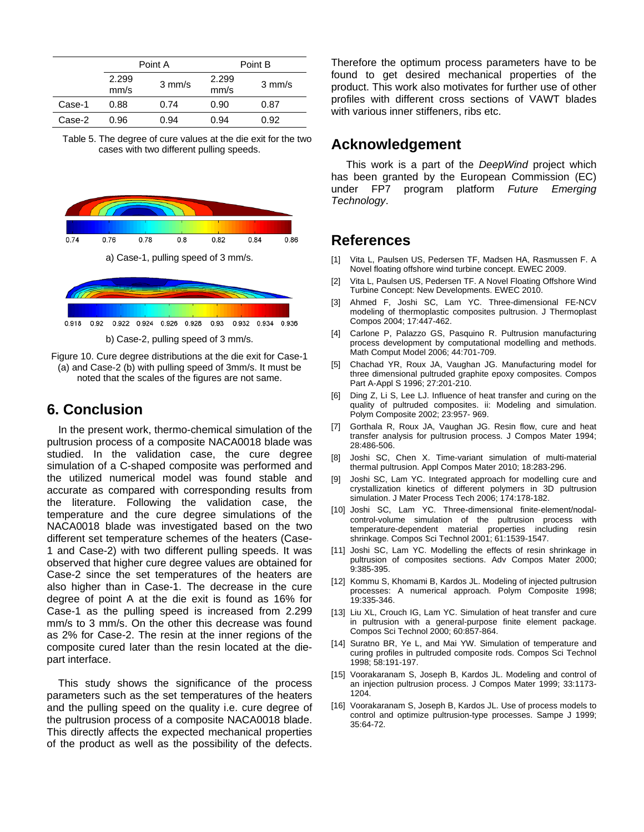|        |               | Point A          |               | Point B          |  |
|--------|---------------|------------------|---------------|------------------|--|
|        | 2.299<br>mm/s | $3 \text{ mm/s}$ | 2.299<br>mm/s | $3 \text{ mm/s}$ |  |
| Case-1 | 0.88          | 0.74             | 0.90          | 0.87             |  |
| Case-2 | 0.96          | 0.94             | 0.94          | 0.92             |  |

Table 5. The degree of cure values at the die exit for the two cases with two different pulling speeds.



b) Case-2, pulling speed of 3 mm/s.

Figure 10. Cure degree distributions at the die exit for Case-1 (a) and Case-2 (b) with pulling speed of 3mm/s. It must be noted that the scales of the figures are not same.

# **6. Conclusion**

In the present work, thermo-chemical simulation of the pultrusion process of a composite NACA0018 blade was studied. In the validation case, the cure degree simulation of a C-shaped composite was performed and the utilized numerical model was found stable and accurate as compared with corresponding results from the literature. Following the validation case, the temperature and the cure degree simulations of the NACA0018 blade was investigated based on the two different set temperature schemes of the heaters (Case-1 and Case-2) with two different pulling speeds. It was observed that higher cure degree values are obtained for Case-2 since the set temperatures of the heaters are also higher than in Case-1. The decrease in the cure degree of point A at the die exit is found as 16% for Case-1 as the pulling speed is increased from 2.299 mm/s to 3 mm/s. On the other this decrease was found as 2% for Case-2. The resin at the inner regions of the composite cured later than the resin located at the diepart interface.

This study shows the significance of the process parameters such as the set temperatures of the heaters and the pulling speed on the quality i.e. cure degree of the pultrusion process of a composite NACA0018 blade. This directly affects the expected mechanical properties of the product as well as the possibility of the defects.

Therefore the optimum process parameters have to be found to get desired mechanical properties of the product. This work also motivates for further use of other profiles with different cross sections of VAWT blades with various inner stiffeners, ribs etc.

# **Acknowledgement**

This work is a part of the *DeepWind* project which has been granted by the European Commission (EC) under FP7 program platform *Future Emerging Technology*.

# **References**

- [1] Vita L, Paulsen US, Pedersen TF, Madsen HA, Rasmussen F. A Novel floating offshore wind turbine concept. EWEC 2009.
- [2] Vita L, Paulsen US, Pedersen TF. A Novel Floating Offshore Wind Turbine Concept: New Developments. EWEC 2010.
- [3] Ahmed F, Joshi SC, Lam YC, Three-dimensional FE-NCV modeling of thermoplastic composites pultrusion. J Thermoplast Compos 2004; 17:447-462.
- [4] Carlone P, Palazzo GS, Pasquino R. Pultrusion manufacturing process development by computational modelling and methods. Math Comput Model 2006; 44:701-709.
- [5] Chachad YR, Roux JA, Vaughan JG. Manufacturing model for three dimensional pultruded graphite epoxy composites. Compos Part A-Appl S 1996; 27:201-210.
- [6] Ding Z, Li S, Lee LJ. Influence of heat transfer and curing on the quality of pultruded composites. ii: Modeling and simulation. Polym Composite 2002; 23:957- 969.
- [7] Gorthala R, Roux JA, Vaughan JG. Resin flow, cure and heat transfer analysis for pultrusion process. J Compos Mater 1994; 28:486-506.
- [8] Joshi SC, Chen X. Time-variant simulation of multi-material thermal pultrusion. Appl Compos Mater 2010; 18:283-296.
- [9] Joshi SC, Lam YC. Integrated approach for modelling cure and crystallization kinetics of different polymers in 3D pultrusion simulation. J Mater Process Tech 2006; 174:178-182.
- [10] Joshi SC, Lam YC. Three-dimensional finite-element/nodalcontrol-volume simulation of the pultrusion process with temperature-dependent material properties including resin shrinkage. Compos Sci Technol 2001; 61:1539-1547.
- [11] Joshi SC, Lam YC. Modelling the effects of resin shrinkage in pultrusion of composites sections. Adv Compos Mater 2000; 9:385-395.
- [12] Kommu S, Khomami B, Kardos JL. Modeling of injected pultrusion processes: A numerical approach. Polym Composite 1998; 19:335-346.
- [13] Liu XL, Crouch IG, Lam YC. Simulation of heat transfer and cure in pultrusion with a general-purpose finite element package. Compos Sci Technol 2000; 60:857-864.
- [14] Suratno BR, Ye L, and Mai YW. Simulation of temperature and curing profiles in pultruded composite rods. Compos Sci Technol 1998; 58:191-197.
- [15] Voorakaranam S, Joseph B, Kardos JL. Modeling and control of an injection pultrusion process. J Compos Mater 1999; 33:1173- 1204.
- [16] Voorakaranam S, Joseph B, Kardos JL. Use of process models to control and optimize pultrusion-type processes. Sampe J 1999; 35:64-72.